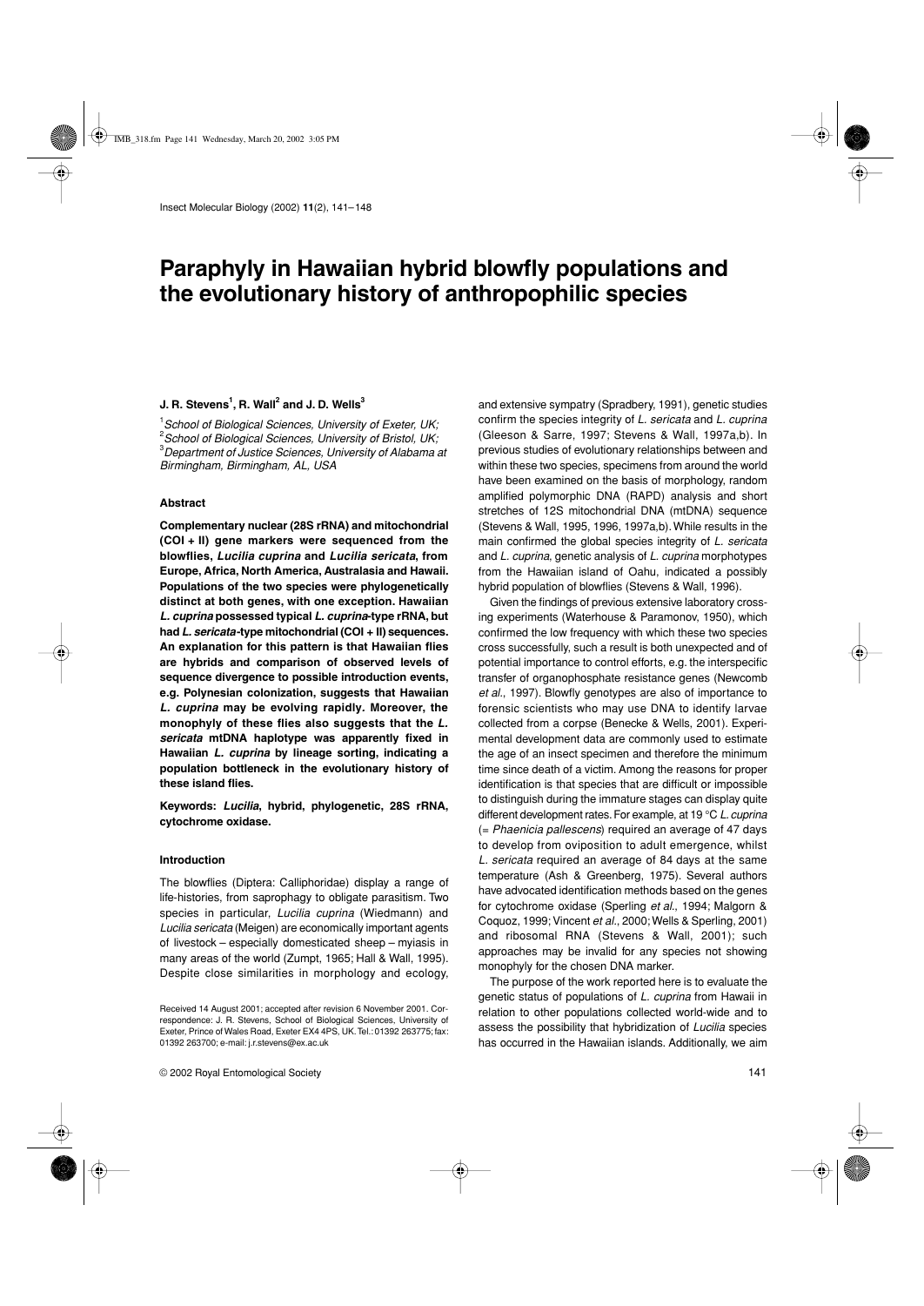# **Paraphyly in Hawaiian hybrid blowfly populations and the evolutionary history of anthropophilic species**

# **J. R. Stevens<sup>1</sup>, R. Wall<sup>2</sup> and J. D. Wells<sup>3</sup>**

 *School of Biological Sciences, University of Exeter, UK; School of Biological Sciences, University of Bristol, UK; Department of Justice Sciences, University of Alabama at Birmingham, Birmingham, AL, USA*

## **Abstract**

**Complementary nuclear (28S rRNA) and mitochondrial (COI + II) gene markers were sequenced from the blowflies,** *Lucilia cuprina* **and** *Lucilia sericata***, from Europe, Africa, North America, Australasia and Hawaii. Populations of the two species were phylogenetically distinct at both genes, with one exception. Hawaiian** *L. cuprina* **possessed typical** *L. cuprina***-type rRNA, but had** *L. sericata***-type mitochondrial (COI + II) sequences. An explanation for this pattern is that Hawaiian flies are hybrids and comparison of observed levels of sequence divergence to possible introduction events, e.g. Polynesian colonization, suggests that Hawaiian** *L. cuprina* **may be evolving rapidly***.* **Moreover, the monophyly of these flies also suggests that the** *L. sericata* **mtDNA haplotype was apparently fixed in Hawaiian** *L. cuprina* **by lineage sorting, indicating a population bottleneck in the evolutionary history of these island flies.**

**Keywords:** *Lucilia***, hybrid, phylogenetic, 28S rRNA, cytochrome oxidase.**

## **Introduction**

The blowflies (Diptera: Calliphoridae) display a range of life-histories, from saprophagy to obligate parasitism. Two species in particular, *Lucilia cuprina* (Wiedmann) and *Lucilia sericata* (Meigen) are economically important agents of livestock – especially domesticated sheep – myiasis in many areas of the world (Zumpt, 1965; Hall & Wall, 1995). Despite close similarities in morphology and ecology, and extensive sympatry (Spradbery, 1991), genetic studies confirm the species integrity of *L. sericata* and *L. cuprina* (Gleeson & Sarre, 1997; Stevens & Wall, 1997a,b). In previous studies of evolutionary relationships between and within these two species, specimens from around the world have been examined on the basis of morphology, random amplified polymorphic DNA (RAPD) analysis and short stretches of 12S mitochondrial DNA (mtDNA) sequence (Stevens & Wall, 1995, 1996, 1997a,b). While results in the main confirmed the global species integrity of *L. sericata* and *L. cuprina*, genetic analysis of *L. cuprina* morphotypes from the Hawaiian island of Oahu, indicated a possibly hybrid population of blowflies (Stevens & Wall, 1996).

Given the findings of previous extensive laboratory crossing experiments (Waterhouse & Paramonov, 1950), which confirmed the low frequency with which these two species cross successfully, such a result is both unexpected and of potential importance to control efforts, e.g. the interspecific transfer of organophosphate resistance genes (Newcomb *et al.*, 1997). Blowfly genotypes are also of importance to forensic scientists who may use DNA to identify larvae collected from a corpse (Benecke & Wells, 2001). Experimental development data are commonly used to estimate the age of an insect specimen and therefore the minimum time since death of a victim. Among the reasons for proper identification is that species that are difficult or impossible to distinguish during the immature stages can display quite different development rates. For example, at 19 °C *L. cuprina* (= *Phaenicia pallescens*) required an average of 47 days to develop from oviposition to adult emergence, whilst *L. sericata* required an average of 84 days at the same temperature (Ash & Greenberg, 1975). Several authors have advocated identification methods based on the genes for cytochrome oxidase (Sperling *et al.*, 1994; Malgorn & Coquoz, 1999; Vincent *et al.*, 2000; Wells & Sperling, 2001) and ribosomal RNA (Stevens & Wall, 2001); such approaches may be invalid for any species not showing monophyly for the chosen DNA marker.

The purpose of the work reported here is to evaluate the genetic status of populations of *L. cuprina* from Hawaii in relation to other populations collected world-wide and to assess the possibility that hybridization of *Lucilia* species has occurred in the Hawaiian islands. Additionally, we aim

Received 14 August 2001; accepted after revision 6 November 2001. Correspondence: J. R. Stevens, School of Biological Sciences, University of Exeter, Prince of Wales Road, Exeter EX4 4PS, UK. Tel.: 01392 263775; fax: 01392 263700; e-mail: j.r.stevens@ex.ac.uk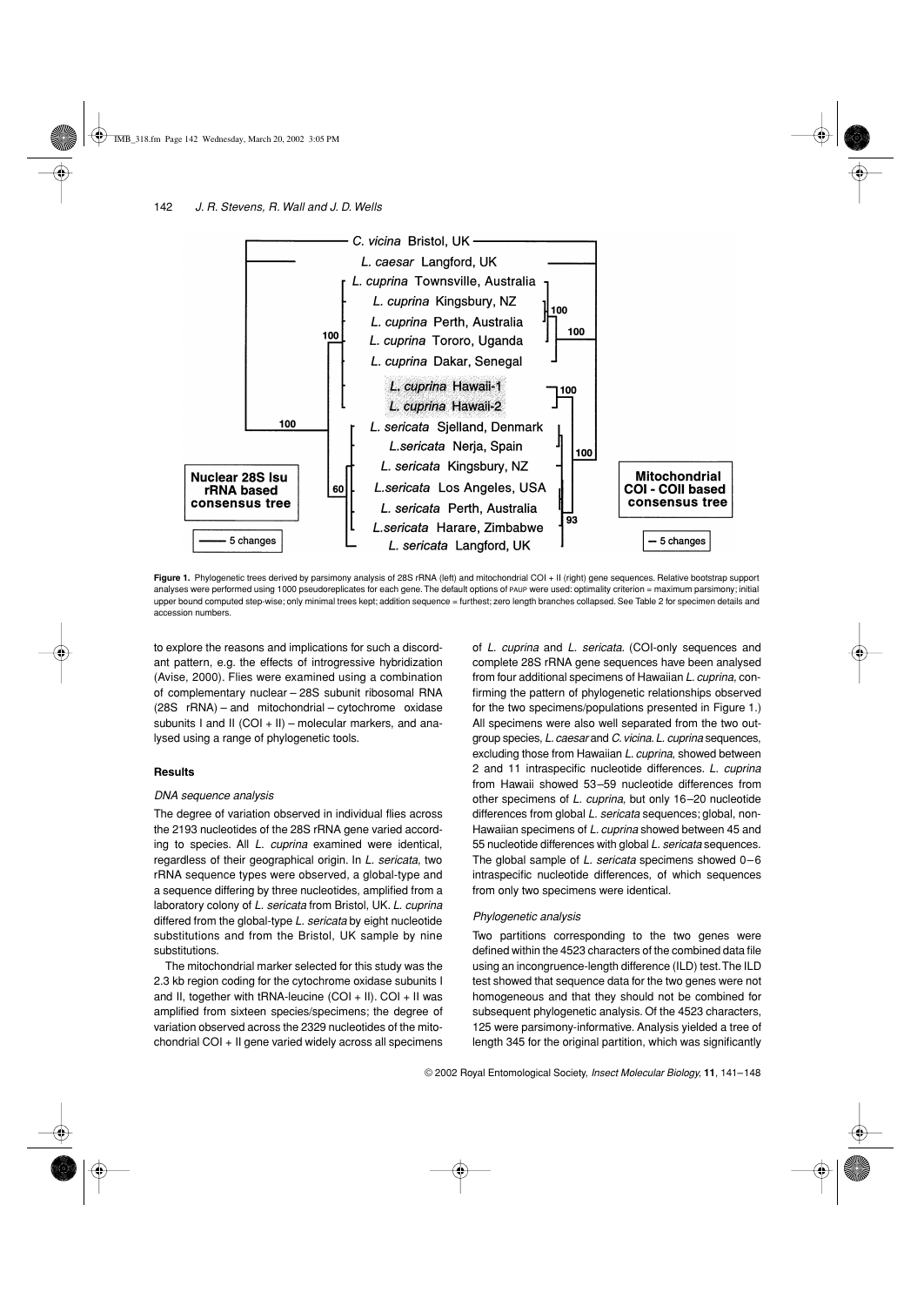

Figure 1. Phylogenetic trees derived by parsimony analysis of 28S rRNA (left) and mitochondrial COI + II (right) gene sequences. Relative bootstrap support analyses were performed using 1000 pseudoreplicates for each gene. The default options of PAUP were used: optimality criterion = maximum parsimony; initial upper bound computed step-wise; only minimal trees kept; addition sequence = furthest; zero length branches collapsed. See Table 2 for specimen details and accession numbers.

to explore the reasons and implications for such a discordant pattern, e.g. the effects of introgressive hybridization (Avise, 2000). Flies were examined using a combination of complementary nuclear – 28S subunit ribosomal RNA (28S rRNA) – and mitochondrial – cytochrome oxidase subunits I and II (COI + II) – molecular markers, and analysed using a range of phylogenetic tools.

# **Results**

# *DNA sequence analysis*

The degree of variation observed in individual flies across the 2193 nucleotides of the 28S rRNA gene varied according to species. All *L. cuprina* examined were identical, regardless of their geographical origin. In *L. sericata*, two rRNA sequence types were observed, a global-type and a sequence differing by three nucleotides, amplified from a laboratory colony of *L. sericata* from Bristol, UK. *L. cuprina* differed from the global-type *L. sericata* by eight nucleotide substitutions and from the Bristol, UK sample by nine substitutions.

The mitochondrial marker selected for this study was the 2.3 kb region coding for the cytochrome oxidase subunits I and II, together with tRNA-leucine (COI + II). COI + II was amplified from sixteen species/specimens; the degree of variation observed across the 2329 nucleotides of the mitochondrial COI + II gene varied widely across all specimens

of *L. cuprina* and *L. sericata*. (COI-only sequences and complete 28S rRNA gene sequences have been analysed from four additional specimens of Hawaiian *L. cuprina*, confirming the pattern of phylogenetic relationships observed for the two specimens/populations presented in Figure 1.) All specimens were also well separated from the two outgroup species, *L. caesar* and *C. vicina*. *L. cuprina* sequences, excluding those from Hawaiian *L. cuprina*, showed between 2 and 11 intraspecific nucleotide differences. *L. cuprina* from Hawaii showed 53–59 nucleotide differences from other specimens of *L. cuprina*, but only 16–20 nucleotide differences from global *L. sericata* sequences; global, non-Hawaiian specimens of *L. cuprina* showed between 45 and 55 nucleotide differences with global *L. sericata* sequences. The global sample of *L. sericata* specimens showed 0–6 intraspecific nucleotide differences, of which sequences from only two specimens were identical.

# *Phylogenetic analysis*

Two partitions corresponding to the two genes were defined within the 4523 characters of the combined data file using an incongruence-length difference (ILD) test. The ILD test showed that sequence data for the two genes were not homogeneous and that they should not be combined for subsequent phylogenetic analysis. Of the 4523 characters, 125 were parsimony-informative. Analysis yielded a tree of length 345 for the original partition, which was significantly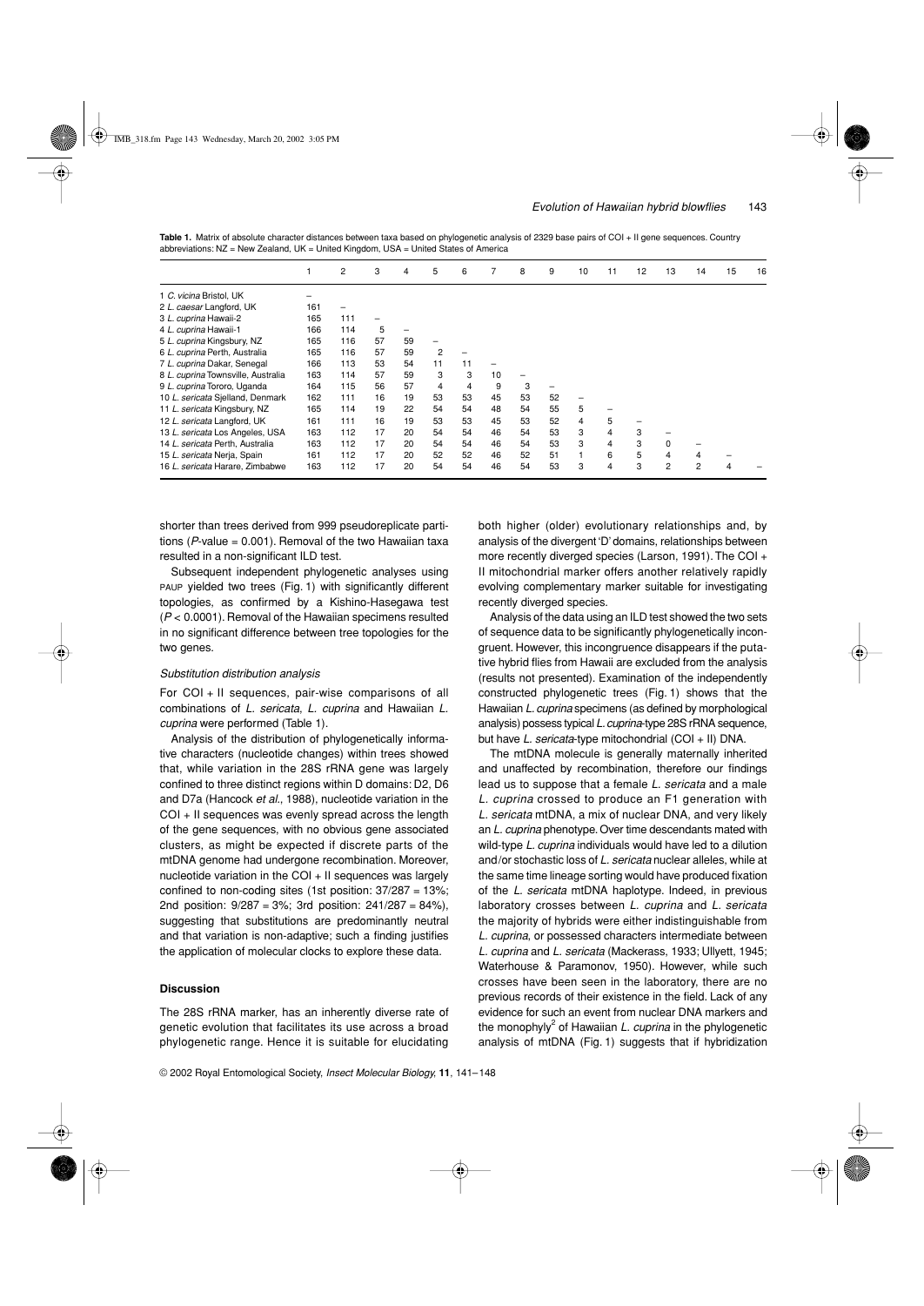|                                    |     | 2   | 3  | 4  | 5  | 6  |    | 8  | 9  | 10 | 11 | 12 | 13             | 14             | 15 | 16 |
|------------------------------------|-----|-----|----|----|----|----|----|----|----|----|----|----|----------------|----------------|----|----|
| 1 C. vicina Bristol, UK            |     |     |    |    |    |    |    |    |    |    |    |    |                |                |    |    |
| 2 L. caesar Langford, UK           | 161 |     |    |    |    |    |    |    |    |    |    |    |                |                |    |    |
| 3 L. cuprina Hawaii-2              | 165 | 111 |    |    |    |    |    |    |    |    |    |    |                |                |    |    |
| 4 L. cuprina Hawaii-1              | 166 | 114 | 5  |    |    |    |    |    |    |    |    |    |                |                |    |    |
| 5 L. cuprina Kingsbury, NZ         | 165 | 116 | 57 | 59 | -  |    |    |    |    |    |    |    |                |                |    |    |
| 6 L. cuprina Perth, Australia      | 165 | 116 | 57 | 59 | 2  |    |    |    |    |    |    |    |                |                |    |    |
| 7 L. cuprina Dakar, Senegal        | 166 | 113 | 53 | 54 | 11 | 11 |    |    |    |    |    |    |                |                |    |    |
| 8 L. cuprina Townsville, Australia | 163 | 114 | 57 | 59 | 3  | 3  | 10 |    |    |    |    |    |                |                |    |    |
| 9 L. cuprina Tororo, Uganda        | 164 | 115 | 56 | 57 | 4  | 4  | 9  | 3  |    |    |    |    |                |                |    |    |
| 10 L. sericata Sjelland, Denmark   | 162 | 111 | 16 | 19 | 53 | 53 | 45 | 53 | 52 |    |    |    |                |                |    |    |
| 11 L. sericata Kingsbury, NZ       | 165 | 114 | 19 | 22 | 54 | 54 | 48 | 54 | 55 | 5  |    |    |                |                |    |    |
| 12 L. sericata Langford, UK        | 161 | 111 | 16 | 19 | 53 | 53 | 45 | 53 | 52 | 4  | 5  |    |                |                |    |    |
| 13 L. sericata Los Angeles, USA    | 163 | 112 | 17 | 20 | 54 | 54 | 46 | 54 | 53 | 3  | 4  | 3  |                |                |    |    |
| 14 L. sericata Perth, Australia    | 163 | 112 | 17 | 20 | 54 | 54 | 46 | 54 | 53 | 3  | 4  | 3  | 0              |                |    |    |
| 15 L. sericata Nerja, Spain        | 161 | 112 | 17 | 20 | 52 | 52 | 46 | 52 | 51 |    | 6  | 5  | 4              | $\overline{4}$ |    |    |
| 16 L. sericata Harare, Zimbabwe    | 163 | 112 | 17 | 20 | 54 | 54 | 46 | 54 | 53 | 3  | 4  | 3  | $\overline{c}$ | 2              |    |    |

Table 1. Matrix of absolute character distances between taxa based on phylogenetic analysis of 2329 base pairs of COI + II gene sequences. Country abbreviations:  $NZ$  = New Zealand,  $UK$  = United Kingdom,  $USA$  = United States of America

shorter than trees derived from 999 pseudoreplicate partitions ( $P$ -value = 0.001). Removal of the two Hawaiian taxa resulted in a non-significant ILD test.

Subsequent independent phylogenetic analyses using PAUP yielded two trees (Fig. 1) with significantly different topologies, as confirmed by a Kishino-Hasegawa test (*P* < 0.0001). Removal of the Hawaiian specimens resulted in no significant difference between tree topologies for the two genes.

## *Substitution distribution analysis*

For COI + II sequences, pair-wise comparisons of all combinations of *L. sericata*, *L. cuprina* and Hawaiian *L. cuprina* were performed (Table 1).

Analysis of the distribution of phylogenetically informative characters (nucleotide changes) within trees showed that, while variation in the 28S rRNA gene was largely confined to three distinct regions within D domains: D2, D6 and D7a (Hancock *et al.*, 1988), nucleotide variation in the COI + II sequences was evenly spread across the length of the gene sequences, with no obvious gene associated clusters, as might be expected if discrete parts of the mtDNA genome had undergone recombination. Moreover, nucleotide variation in the COI + II sequences was largely confined to non-coding sites (1st position: 37/287 = 13%; 2nd position: 9/287 = 3%; 3rd position: 241/287 = 84%), suggesting that substitutions are predominantly neutral and that variation is non-adaptive; such a finding justifies the application of molecular clocks to explore these data.

## **Discussion**

The 28S rRNA marker, has an inherently diverse rate of genetic evolution that facilitates its use across a broad phylogenetic range. Hence it is suitable for elucidating both higher (older) evolutionary relationships and, by analysis of the divergent 'D' domains, relationships between more recently diverged species (Larson, 1991). The COI + II mitochondrial marker offers another relatively rapidly evolving complementary marker suitable for investigating recently diverged species.

Analysis of the data using an ILD test showed the two sets of sequence data to be significantly phylogenetically incongruent. However, this incongruence disappears if the putative hybrid flies from Hawaii are excluded from the analysis (results not presented). Examination of the independently constructed phylogenetic trees (Fig. 1) shows that the Hawaiian *L. cuprina* specimens (as defined by morphological analysis) possess typical *L. cuprina*-type 28S rRNA sequence, but have *L. sericata*-type mitochondrial (COI + II) DNA.

The mtDNA molecule is generally maternally inherited and unaffected by recombination, therefore our findings lead us to suppose that a female *L. sericata* and a male *L. cuprina* crossed to produce an F1 generation with *L. sericata* mtDNA, a mix of nuclear DNA, and very likely an *L. cuprina* phenotype. Over time descendants mated with wild-type *L. cuprina* individuals would have led to a dilution and/or stochastic loss of *L. sericata* nuclear alleles, while at the same time lineage sorting would have produced fixation of the *L. sericata* mtDNA haplotype. Indeed, in previous laboratory crosses between *L. cuprina* and *L. sericata* the majority of hybrids were either indistinguishable from *L. cuprina*, or possessed characters intermediate between *L. cuprina* and *L. sericata* (Mackerass, 1933; Ullyett, 1945; Waterhouse & Paramonov, 1950). However, while such crosses have been seen in the laboratory, there are no previous records of their existence in the field. Lack of any evidence for such an event from nuclear DNA markers and the monophyly<sup>2</sup> of Hawaiian *L. cuprina* in the phylogenetic analysis of mtDNA (Fig. 1) suggests that if hybridization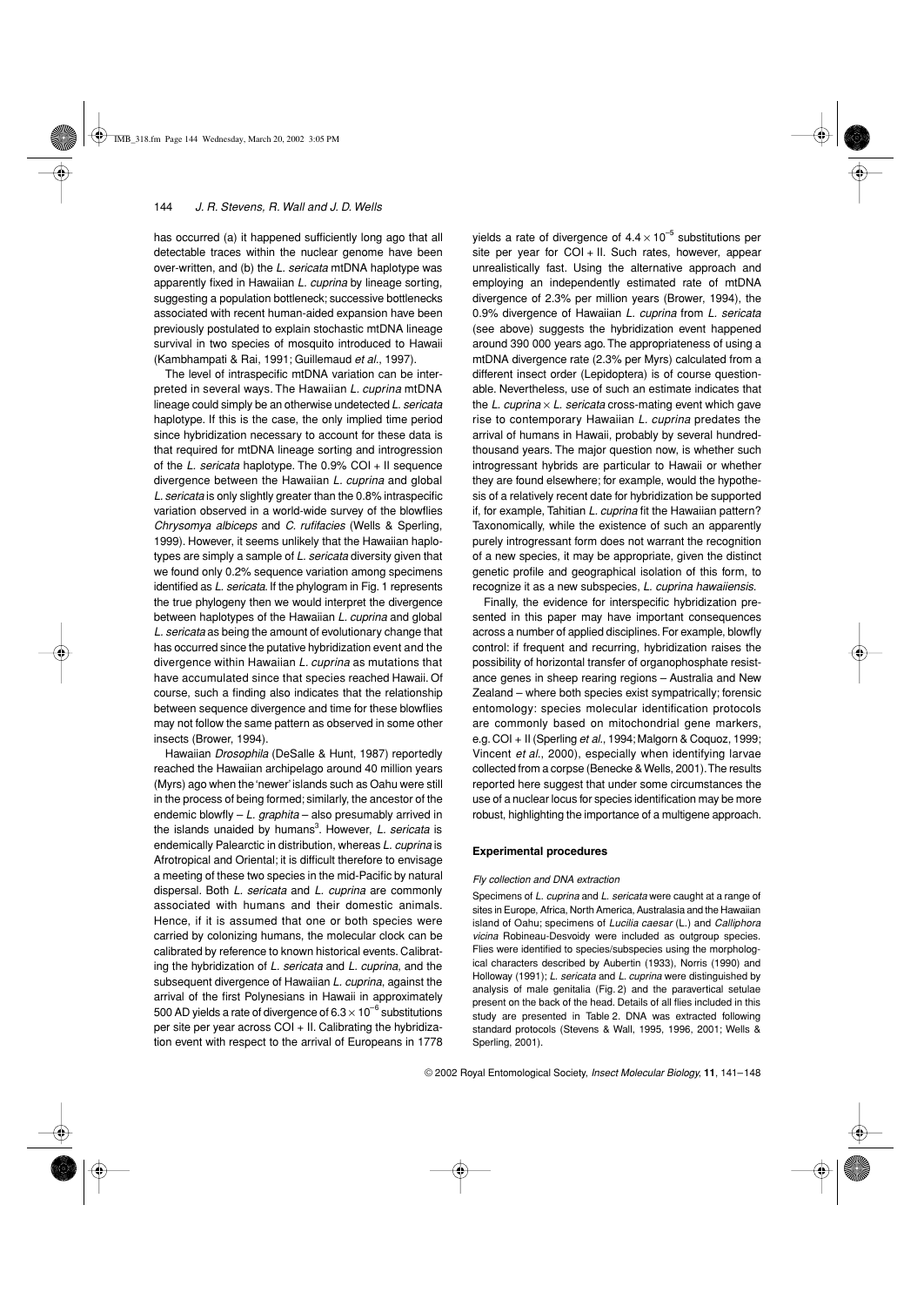has occurred (a) it happened sufficiently long ago that all detectable traces within the nuclear genome have been over-written, and (b) the *L. sericata* mtDNA haplotype was apparently fixed in Hawaiian *L. cuprina* by lineage sorting, suggesting a population bottleneck; successive bottlenecks associated with recent human-aided expansion have been previously postulated to explain stochastic mtDNA lineage survival in two species of mosquito introduced to Hawaii (Kambhampati & Rai, 1991; Guillemaud *et al.*, 1997).

The level of intraspecific mtDNA variation can be interpreted in several ways. The Hawaiian *L. cuprina* mtDNA lineage could simply be an otherwise undetected *L. sericata* haplotype. If this is the case, the only implied time period since hybridization necessary to account for these data is that required for mtDNA lineage sorting and introgression of the *L. sericata* haplotype. The 0.9% COI + II sequence divergence between the Hawaiian *L. cuprina* and global *L. sericata* is only slightly greater than the 0.8% intraspecific variation observed in a world-wide survey of the blowflies *Chrysomya albiceps* and *C. rufifacies* (Wells & Sperling, 1999). However, it seems unlikely that the Hawaiian haplotypes are simply a sample of *L. sericata* diversity given that we found only 0.2% sequence variation among specimens identified as *L. sericata*. If the phylogram in Fig. 1 represents the true phylogeny then we would interpret the divergence between haplotypes of the Hawaiian *L. cuprina* and global *L. sericata* as being the amount of evolutionary change that has occurred since the putative hybridization event and the divergence within Hawaiian *L. cuprina* as mutations that have accumulated since that species reached Hawaii. Of course, such a finding also indicates that the relationship between sequence divergence and time for these blowflies may not follow the same pattern as observed in some other insects (Brower, 1994).

Hawaiian *Drosophila* (DeSalle & Hunt, 1987) reportedly reached the Hawaiian archipelago around 40 million years (Myrs) ago when the 'newer' islands such as Oahu were still in the process of being formed; similarly, the ancestor of the endemic blowfly – *L. graphita* – also presumably arrived in the islands unaided by humans<sup>3</sup>. However, *L. sericata* is endemically Palearctic in distribution, whereas *L. cuprina* is Afrotropical and Oriental; it is difficult therefore to envisage a meeting of these two species in the mid-Pacific by natural dispersal. Both *L. sericata* and *L. cuprina* are commonly associated with humans and their domestic animals. Hence, if it is assumed that one or both species were carried by colonizing humans, the molecular clock can be calibrated by reference to known historical events. Calibrating the hybridization of *L. sericata* and *L. cuprina*, and the subsequent divergence of Hawaiian *L. cuprina*, against the arrival of the first Polynesians in Hawaii in approximately 500 AD yields a rate of divergence of  $6.3 \times 10^{-6}$  substitutions per site per year across  $COI + II$ . Calibrating the hybridization event with respect to the arrival of Europeans in 1778

yields a rate of divergence of  $4.4 \times 10^{-5}$  substitutions per site per year for  $COI + II$ . Such rates, however, appear unrealistically fast. Using the alternative approach and employing an independently estimated rate of mtDNA divergence of 2.3% per million years (Brower, 1994), the 0.9% divergence of Hawaiian *L. cuprina* from *L. sericata* (see above) suggests the hybridization event happened around 390 000 years ago. The appropriateness of using a mtDNA divergence rate (2.3% per Myrs) calculated from a different insect order (Lepidoptera) is of course questionable. Nevertheless, use of such an estimate indicates that the *L. cuprina*  $\times$  *L. sericata* cross-mating event which gave rise to contemporary Hawaiian *L. cuprina* predates the arrival of humans in Hawaii, probably by several hundredthousand years. The major question now, is whether such introgressant hybrids are particular to Hawaii or whether they are found elsewhere; for example, would the hypothesis of a relatively recent date for hybridization be supported if, for example, Tahitian *L. cuprina* fit the Hawaiian pattern? Taxonomically, while the existence of such an apparently purely introgressant form does not warrant the recognition of a new species, it may be appropriate, given the distinct genetic profile and geographical isolation of this form, to recognize it as a new subspecies, *L. cuprina hawaiiensis*.

Finally, the evidence for interspecific hybridization presented in this paper may have important consequences across a number of applied disciplines. For example, blowfly control: if frequent and recurring, hybridization raises the possibility of horizontal transfer of organophosphate resistance genes in sheep rearing regions – Australia and New Zealand – where both species exist sympatrically; forensic entomology: species molecular identification protocols are commonly based on mitochondrial gene markers, e.g. COI + II (Sperling *et al.*, 1994; Malgorn & Coquoz, 1999; Vincent *et al.*, 2000), especially when identifying larvae collected from a corpse (Benecke & Wells, 2001). The results reported here suggest that under some circumstances the use of a nuclear locus for species identification may be more robust, highlighting the importance of a multigene approach.

## **Experimental procedures**

#### *Fly collection and DNA extraction*

Specimens of *L. cuprina* and *L. sericata* were caught at a range of sites in Europe, Africa, North America, Australasia and the Hawaiian island of Oahu; specimens of *Lucilia caesar* (L.) and *Calliphora vicina* Robineau-Desvoidy were included as outgroup species. Flies were identified to species/subspecies using the morphological characters described by Aubertin (1933), Norris (1990) and Holloway (1991); *L. sericata* and *L. cuprina* were distinguished by analysis of male genitalia (Fig. 2) and the paravertical setulae present on the back of the head. Details of all flies included in this study are presented in Table 2. DNA was extracted following standard protocols (Stevens & Wall, 1995, 1996, 2001; Wells & Sperling, 2001).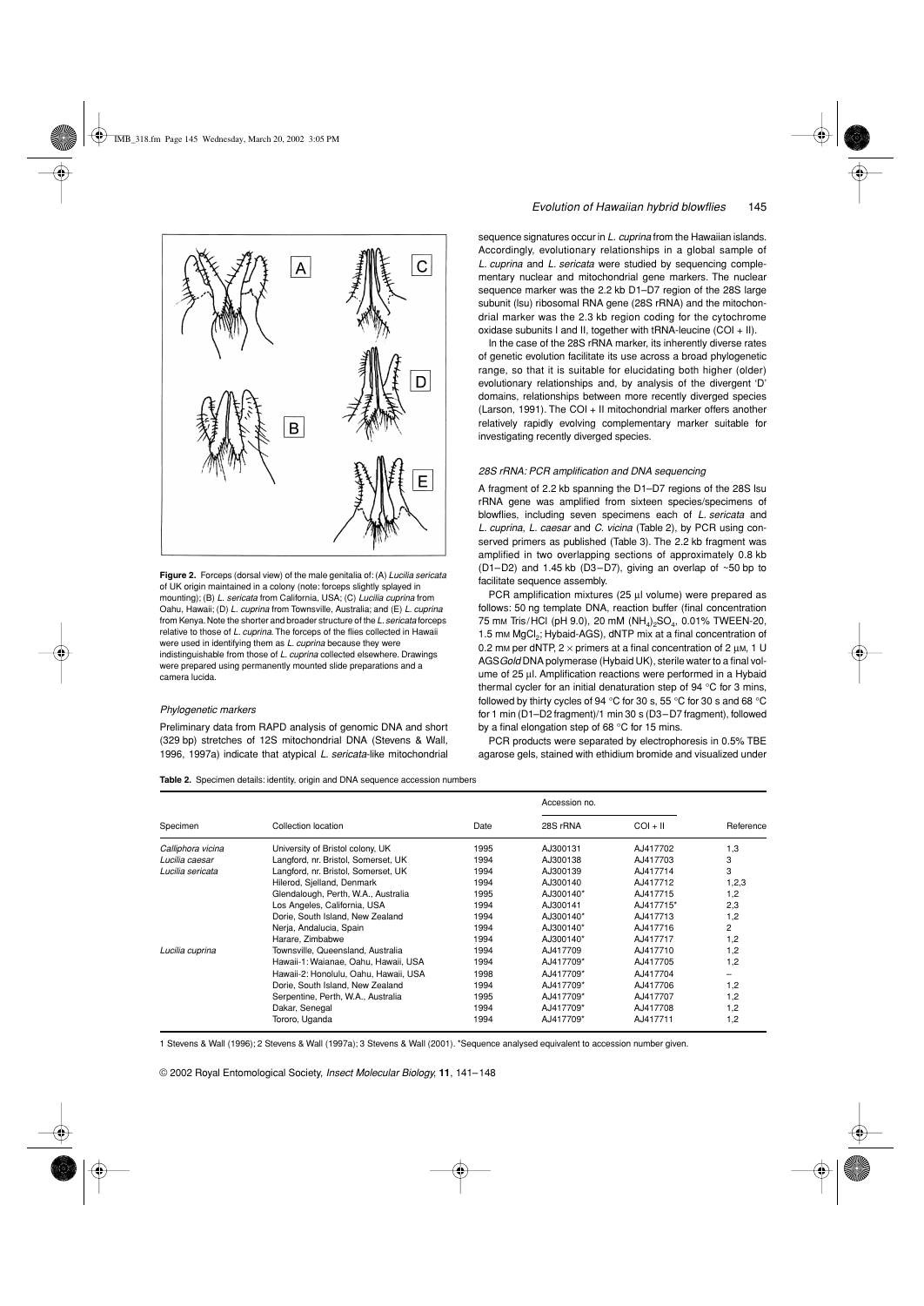

**Figure 2.** Forceps (dorsal view) of the male genitalia of: (A) *Lucilia sericata* of UK origin maintained in a colony (note: forceps slightly splayed in mounting); (B) *L. sericata* from California, USA; (C) *Lucilia cuprina* from Oahu, Hawaii; (D) *L. cuprina* from Townsville, Australia; and (E) *L. cuprina* from Kenya. Note the shorter and broader structure of the *L. sericata* forceps relative to those of *L. cuprina*. The forceps of the flies collected in Hawaii were used in identifying them as *L. cuprina* because they were indistinguishable from those of *L. cuprina* collected elsewhere. Drawings were prepared using permanently mounted slide preparations and a camera lucida.

#### *Phylogenetic markers*

Preliminary data from RAPD analysis of genomic DNA and short (329 bp) stretches of 12S mitochondrial DNA (Stevens & Wall, 1996, 1997a) indicate that atypical *L. sericata*-like mitochondrial *Evolution of Hawaiian hybrid blowflies* 145

sequence signatures occur in *L. cuprina* from the Hawaiian islands. Accordingly, evolutionary relationships in a global sample of *L. cuprina* and *L. sericata* were studied by sequencing complementary nuclear and mitochondrial gene markers. The nuclear sequence marker was the 2.2 kb D1–D7 region of the 28S large subunit (lsu) ribosomal RNA gene (28S rRNA) and the mitochondrial marker was the 2.3 kb region coding for the cytochrome oxidase subunits I and II, together with tRNA-leucine  $(COI + II)$ .

In the case of the 28S rRNA marker, its inherently diverse rates of genetic evolution facilitate its use across a broad phylogenetic range, so that it is suitable for elucidating both higher (older) evolutionary relationships and, by analysis of the divergent 'D' domains, relationships between more recently diverged species (Larson, 1991). The COI + II mitochondrial marker offers another relatively rapidly evolving complementary marker suitable for investigating recently diverged species.

#### *28S rRNA: PCR amplification and DNA sequencing*

A fragment of 2.2 kb spanning the D1–D7 regions of the 28S lsu rRNA gene was amplified from sixteen species/specimens of blowflies, including seven specimens each of *L. sericata* and *L. cuprina*, *L. caesar* and *C. vicina* (Table 2), by PCR using conserved primers as published (Table 3). The 2.2 kb fragment was amplified in two overlapping sections of approximately 0.8 kb (D1–D2) and 1.45 kb (D3–D7), giving an overlap of ~50 bp to facilitate sequence assembly.

PCR amplification mixtures (25 µl volume) were prepared as follows: 50 ng template DNA, reaction buffer (final concentration 75 mm Tris/HCl (pH 9.0), 20 mM (NH<sub>4</sub>)<sub>2</sub>SO<sub>4</sub>, 0.01% TWEEN-20, 1.5 mm MgCl<sub>2</sub>; Hybaid-AGS), dNTP mix at a final concentration of 0.2 mm per dNTP,  $2 \times$  primers at a final concentration of 2  $\mu$ m, 1 U AGS*Gold* DNA polymerase (Hybaid UK), sterile water to a final volume of 25 µl. Amplification reactions were performed in a Hybaid thermal cycler for an initial denaturation step of 94 °C for 3 mins, followed by thirty cycles of 94 °C for 30 s, 55 °C for 30 s and 68 °C for 1 min (D1–D2 fragment)/1 min 30 s (D3–D7 fragment), followed by a final elongation step of 68 °C for 15 mins.

PCR products were separated by electrophoresis in 0.5% TBE agarose gels, stained with ethidium bromide and visualized under

**Table 2.** Specimen details: identity, origin and DNA sequence accession numbers

|                   |                                       |      | Accession no. |            |                |
|-------------------|---------------------------------------|------|---------------|------------|----------------|
| Specimen          | Collection location                   | Date | 28S rRNA      | $COI + II$ | Reference      |
| Calliphora vicina | University of Bristol colony, UK      | 1995 | AJ300131      | AJ417702   | 1,3            |
| Lucilia caesar    | Langford, nr. Bristol, Somerset, UK   | 1994 | AJ300138      | AJ417703   | 3              |
| Lucilia sericata  | Langford, nr. Bristol, Somerset, UK   | 1994 | AJ300139      | AJ417714   | 3              |
|                   | Hilerod, Sielland, Denmark            | 1994 | AJ300140      | AJ417712   | 1,2,3          |
|                   | Glendalough, Perth, W.A., Australia   | 1995 | AJ300140*     | AJ417715   | 1,2            |
|                   | Los Angeles, California, USA          | 1994 | AJ300141      | AJ417715*  | 2,3            |
|                   | Dorie, South Island, New Zealand      | 1994 | AJ300140*     | AJ417713   | 1,2            |
|                   | Nerja, Andalucia, Spain               | 1994 | AJ300140*     | AJ417716   | $\overline{c}$ |
|                   | Harare. Zimbabwe                      | 1994 | AJ300140*     | AJ417717   | 1,2            |
| Lucilia cuprina   | Townsville, Queensland, Australia     | 1994 | AJ417709      | AJ417710   | 1,2            |
|                   | Hawaii-1: Waianae, Oahu, Hawaii, USA  | 1994 | AJ417709*     | AJ417705   | 1,2            |
|                   | Hawaii-2: Honolulu, Oahu, Hawaii, USA | 1998 | AJ417709*     | AJ417704   |                |
|                   | Dorie, South Island, New Zealand      | 1994 | AJ417709*     | AJ417706   | 1,2            |
|                   | Serpentine, Perth, W.A., Australia    | 1995 | AJ417709*     | AJ417707   | 1,2            |
|                   | Dakar, Senegal                        | 1994 | AJ417709*     | AJ417708   | 1.2            |
|                   | Tororo, Uganda                        | 1994 | AJ417709*     | AJ417711   | 1,2            |

1 Stevens & Wall (1996); 2 Stevens & Wall (1997a); 3 Stevens & Wall (2001). \*Sequence analysed equivalent to accession number given.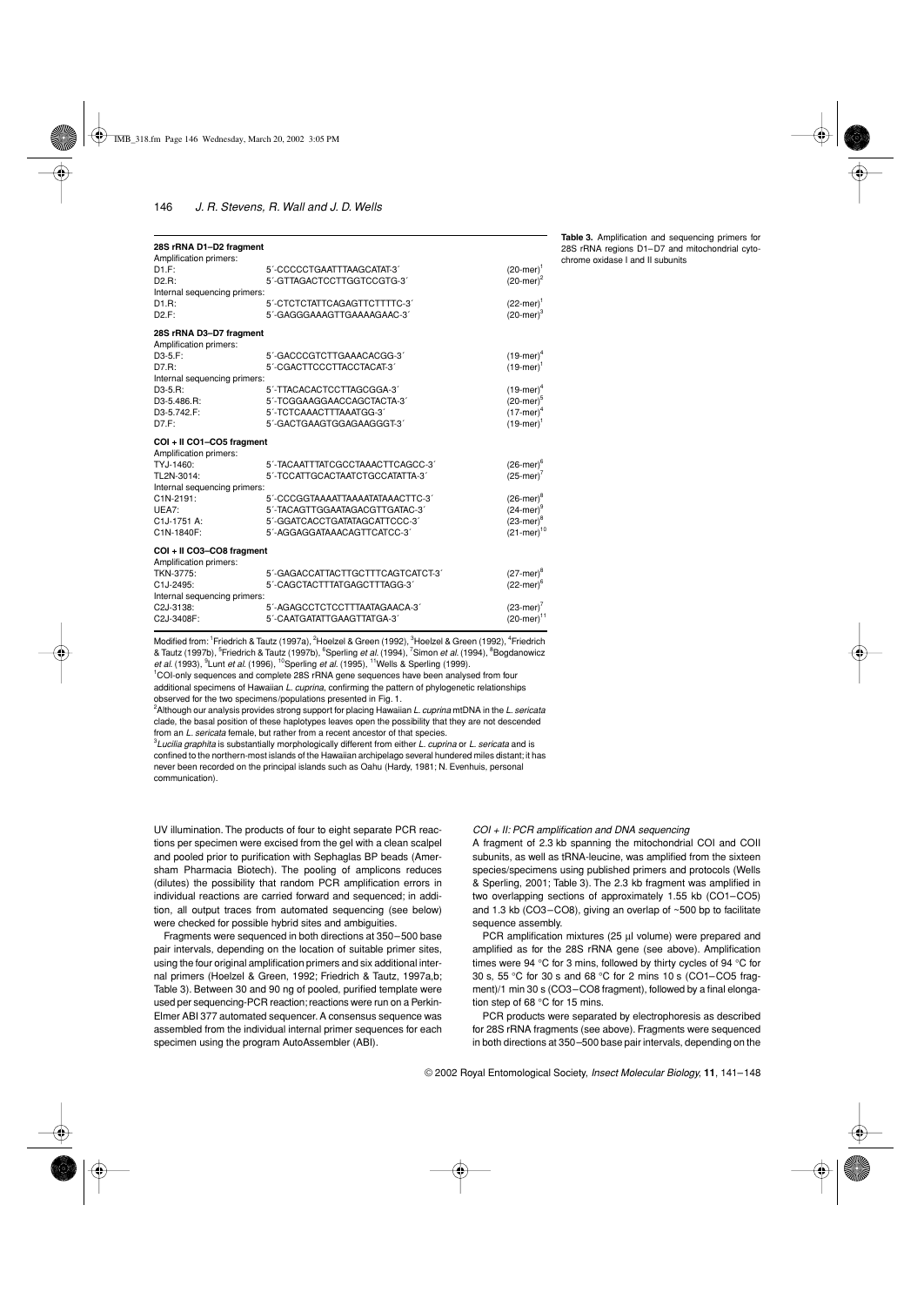| 28S rRNA D1-D2 fragment<br>Amplification primers: |                                                          |                                            |
|---------------------------------------------------|----------------------------------------------------------|--------------------------------------------|
| DT.F:<br>$D2.R$ :                                 | 5'-CCCCCTGAATTTAAGCATAT-3'<br>5'-GTTAGACTCCTTGGTCCGTG-3' | $(20$ -mer $)^1$<br>$(20$ -mer $)^2$       |
| Internal sequencing primers:                      |                                                          |                                            |
| D1R                                               | 5'-CTCTCTATTCAGAGTTCTTTTC-3'                             | $(22-mer)^{1}$                             |
| D2.F:                                             | 5'-GAGGGAAAGTTGAAAAGAAC-3'                               | $(20$ -mer $)^3$                           |
| 28S rRNA D3-D7 fragment                           |                                                          |                                            |
| Amplification primers:                            |                                                          |                                            |
| $D3-5.F$ :                                        | 5'-GACCCGTCTTGAAACACGG-3'                                | $(19$ -mer $)^4$                           |
| D7.R:                                             | 5'-CGACTTCCCTTACCTACAT-3'                                | $(19$ -mer $)^1$                           |
| Internal sequencing primers:                      |                                                          |                                            |
| $D3-5.R$ :                                        | 5'-TTACACACTCCTTAGCGGA-3'                                | $(19$ -mer $)^4$                           |
| D3-5.486.R:                                       | 5'-TCGGAAGGAACCAGCTACTA-3'                               | $(20$ -mer $)^5$                           |
| D3-5.742.F:<br>D7.F:                              | 5'-TCTCAAACTTTAAATGG-3'<br>5'-GACTGAAGTGGAGAAGGGT-3'     | $(17-mer)^4$<br>$(19$ -mer $)^1$           |
|                                                   |                                                          |                                            |
|                                                   |                                                          |                                            |
| COI + II CO1-CO5 fragment                         |                                                          |                                            |
| Amplification primers:                            |                                                          |                                            |
| TYJ-1460:                                         | 5'-TACAATTTATCGCCTAAACTTCAGCC-3'                         | $(26$ -mer $)^6$                           |
| TL2N-3014:                                        | 5'-TCCATTGCACTAATCTGCCATATTA-3'                          | $(25$ -mer) <sup><math>\prime</math></sup> |
| Internal sequencing primers:                      |                                                          |                                            |
| C1N-2191:                                         | 5'-CCCGGTAAAATTAAAATATAAACTTC-3'                         | $(26$ -mer $)^8$                           |
| UEA7:                                             | 5'-TACAGTTGGAATAGACGTTGATAC-3'                           | $(24$ -mer)                                |
| C1J-1751 A:                                       | 5'-GGATCACCTGATATAGCATTCCC-3'                            | $(23$ -mer) <sup>8</sup>                   |
| C1N-1840F:                                        | 5'-AGGAGGATAAACAGTTCATCC-3'                              | $(21 - mer)^{10}$                          |
| COI + II CO3-CO8 fragment                         |                                                          |                                            |
| Amplification primers:<br>TKN-3775:               | 5'-GAGACCATTACTTGCTTTCAGTCATCT-3'                        | $(27$ -mer $)^8$                           |
| C1J-2495:                                         | 5'-CAGCTACTTTATGAGCTTTAGG-3'                             | $(22$ -mer $)^6$                           |
| Internal sequencing primers:                      |                                                          |                                            |
| C2J-3138:                                         | 5'-AGAGCCTCTCCTTTAATAGAACA-3'                            | $(23$ -mer) <sup><math>\prime</math></sup> |
| C2J-3408F:                                        | 5'-CAATGATATTGAAGTTATGA-3'                               | $(20$ -mer) <sup>11</sup>                  |

Modified from: <sup>1</sup>Friedrich & Tautz (1997a), <sup>2</sup>Hoelzel & Green (1992), <sup>3</sup>Hoelzel & Green (1992), <sup>4</sup>Friedrich & Tautz (1997b), <sup>5</sup>Friedrich & Tautz (1997b), <sup>6</sup>Sperling *et al.* (1994), <sup>7</sup>Simon *et al.* (1994), <sup>8</sup>Bogdanowicz *et al.* (1993), <sup>9</sup>Lunt *et al.* (1996), <sup>10</sup>Sperling *et al.* (1995), <sup>11</sup>Wells & Sperling (1999).

<sup>1</sup>COI-only sequences and complete 28S rRNA gene sequences have been analysed from four additional specimens of Hawaiian *L. cuprina*, confirming the pattern of phylogenetic relationships observed for the two specimens/populations presented in Fig. 1.

2 Although our analysis provides strong support for placing Hawaiian *L. cuprina* mtDNA in the *L. sericata* clade, the basal position of these haplotypes leaves open the possibility that they are not descended from an *L. sericata* female, but rather from a recent ancestor of that species.

3 *Lucilia graphita* is substantially morphologically different from either *L. cuprina* or *L. sericata* and is confined to the northern-most islands of the Hawaiian archipelago several hundered miles distant; it has never been recorded on the principal islands such as Oahu (Hardy, 1981; N. Evenhuis, personal communication).

UV illumination. The products of four to eight separate PCR reactions per specimen were excised from the gel with a clean scalpel and pooled prior to purification with Sephaglas BP beads (Amersham Pharmacia Biotech). The pooling of amplicons reduces (dilutes) the possibility that random PCR amplification errors in individual reactions are carried forward and sequenced; in addition, all output traces from automated sequencing (see below) were checked for possible hybrid sites and ambiguities.

Fragments were sequenced in both directions at 350–500 base pair intervals, depending on the location of suitable primer sites, using the four original amplification primers and six additional internal primers (Hoelzel & Green, 1992; Friedrich & Tautz, 1997a,b; Table 3). Between 30 and 90 ng of pooled, purified template were used per sequencing-PCR reaction; reactions were run on a Perkin-Elmer ABI 377 automated sequencer. A consensus sequence was assembled from the individual internal primer sequences for each specimen using the program AutoAssembler (ABI).

#### *COI + II: PCR amplification and DNA sequencing*

A fragment of 2.3 kb spanning the mitochondrial COI and COII subunits, as well as tRNA-leucine, was amplified from the sixteen species/specimens using published primers and protocols (Wells & Sperling, 2001; Table 3). The 2.3 kb fragment was amplified in two overlapping sections of approximately 1.55 kb (CO1–CO5) and 1.3 kb (CO3–CO8), giving an overlap of ~500 bp to facilitate sequence assembly.

PCR amplification mixtures (25 µl volume) were prepared and amplified as for the 28S rRNA gene (see above). Amplification times were 94 °C for 3 mins, followed by thirty cycles of 94 °C for 30 s, 55 °C for 30 s and 68 °C for 2 mins 10 s (CO1–CO5 fragment)/1 min 30 s (CO3–CO8 fragment), followed by a final elongation step of 68 °C for 15 mins.

PCR products were separated by electrophoresis as described for 28S rRNA fragments (see above). Fragments were sequenced in both directions at 350–500 base pair intervals, depending on the

**Table 3.** Amplification and sequencing primers for 28S rRNA regions D1–D7 and mitochondrial cytochrome oxidase I and II subunits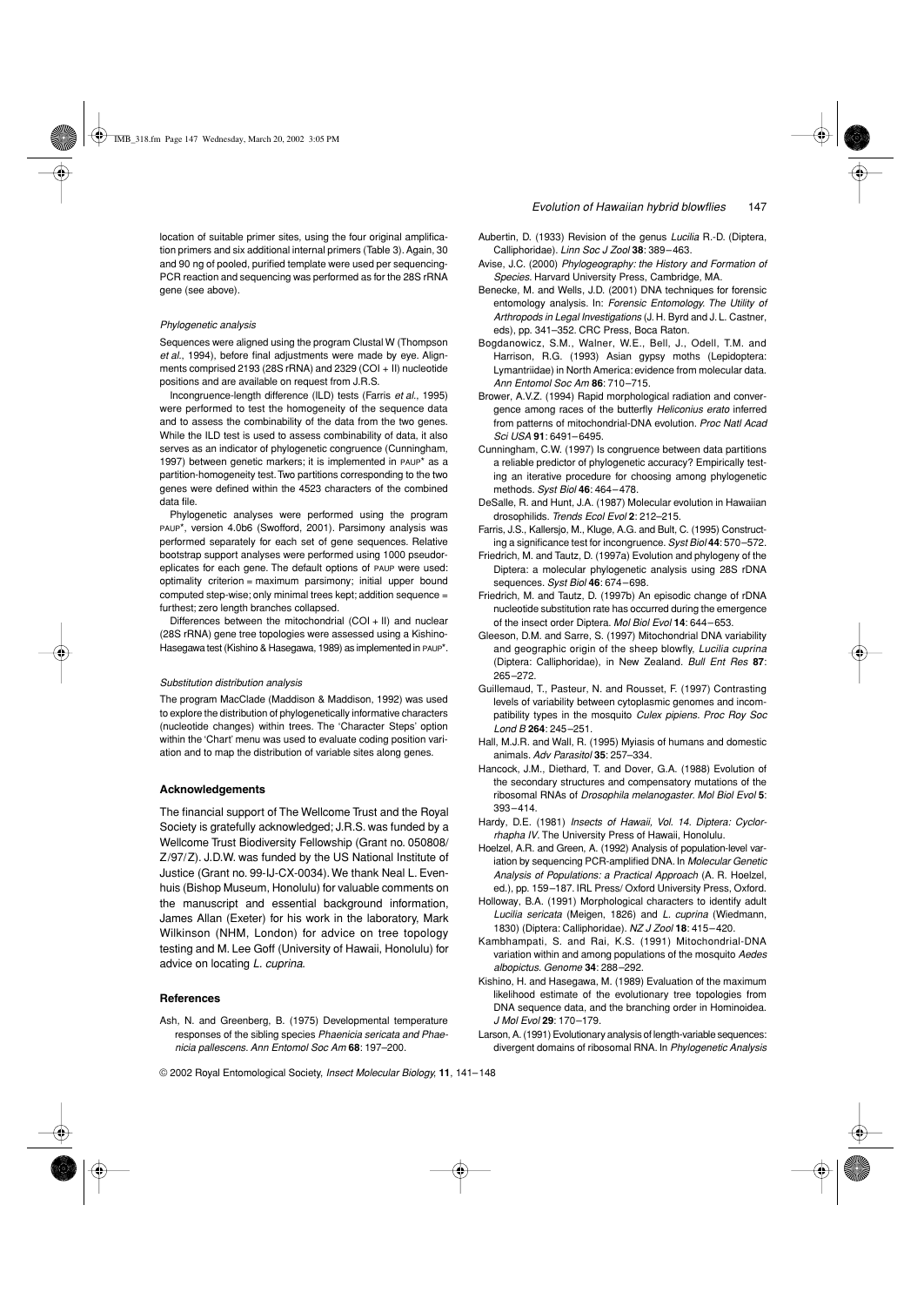location of suitable primer sites, using the four original amplification primers and six additional internal primers (Table 3). Again, 30 and 90 ng of pooled, purified template were used per sequencing-PCR reaction and sequencing was performed as for the 28S rRNA gene (see above).

#### *Phylogenetic analysis*

Sequences were aligned using the program Clustal W (Thompson *et al.*, 1994), before final adjustments were made by eye. Alignments comprised 2193 (28S rRNA) and 2329 (COI + II) nucleotide positions and are available on request from J.R.S.

Incongruence-length difference (ILD) tests (Farris *et al.*, 1995) were performed to test the homogeneity of the sequence data and to assess the combinability of the data from the two genes. While the ILD test is used to assess combinability of data, it also serves as an indicator of phylogenetic congruence (Cunningham, 1997) between genetic markers; it is implemented in PAUP<sup>\*</sup> as a partition-homogeneity test. Two partitions corresponding to the two genes were defined within the 4523 characters of the combined data file.

Phylogenetic analyses were performed using the program PAUP\*, version 4.0b6 (Swofford, 2001). Parsimony analysis was performed separately for each set of gene sequences. Relative bootstrap support analyses were performed using 1000 pseudoreplicates for each gene. The default options of PAUP were used: optimality criterion = maximum parsimony; initial upper bound computed step-wise; only minimal trees kept; addition sequence = furthest; zero length branches collapsed.

Differences between the mitochondrial (COI + II) and nuclear (28S rRNA) gene tree topologies were assessed using a Kishino-Hasegawa test (Kishino & Hasegawa, 1989) as implemented in PAUP\*.

#### *Substitution distribution analysis*

The program MacClade (Maddison & Maddison, 1992) was used to explore the distribution of phylogenetically informative characters (nucleotide changes) within trees. The 'Character Steps' option within the 'Chart' menu was used to evaluate coding position variation and to map the distribution of variable sites along genes.

## **Acknowledgements**

The financial support of The Wellcome Trust and the Royal Society is gratefully acknowledged; J.R.S. was funded by a Wellcome Trust Biodiversity Fellowship (Grant no. 050808/ Z/97/Z). J.D.W. was funded by the US National Institute of Justice (Grant no. 99-IJ-CX-0034). We thank Neal L. Evenhuis (Bishop Museum, Honolulu) for valuable comments on the manuscript and essential background information, James Allan (Exeter) for his work in the laboratory, Mark Wilkinson (NHM, London) for advice on tree topology testing and M. Lee Goff (University of Hawaii, Honolulu) for advice on locating *L. cuprina*.

#### **References**

Ash, N. and Greenberg, B. (1975) Developmental temperature responses of the sibling species *Phaenicia sericata and Phaenicia pallescens*. *Ann Entomol Soc Am* **68**: 197–200.

- Aubertin, D. (1933) Revision of the genus *Lucilia* R.-D. (Diptera, Calliphoridae). *Linn Soc J Zool* **38**: 389–463.
- Avise, J.C. (2000) *Phylogeography: the History and Formation of Species*. Harvard University Press, Cambridge, MA.
- Benecke, M. and Wells, J.D. (2001) DNA techniques for forensic entomology analysis. In: *Forensic Entomology. The Utility of Arthropods in Legal Investigations* (J. H. Byrd and J. L. Castner, eds), pp. 341–352. CRC Press, Boca Raton.
- Bogdanowicz, S.M., Walner, W.E., Bell, J., Odell, T.M. and Harrison, R.G. (1993) Asian gypsy moths (Lepidoptera: Lymantriidae) in North America: evidence from molecular data. *Ann Entomol Soc Am* **86**: 710–715.
- Brower, A.V.Z. (1994) Rapid morphological radiation and convergence among races of the butterfly *Heliconius erato* inferred from patterns of mitochondrial-DNA evolution. *Proc Natl Acad Sci USA* **91**: 6491–6495.
- Cunningham, C.W. (1997) Is congruence between data partitions a reliable predictor of phylogenetic accuracy? Empirically testing an iterative procedure for choosing among phylogenetic methods. *Syst Biol* **46**: 464–478.
- DeSalle, R. and Hunt, J.A. (1987) Molecular evolution in Hawaiian drosophilids. *Trends Ecol Evol* **2**: 212–215.
- Farris, J.S., Kallersjo, M., Kluge, A.G. and Bult, C. (1995) Constructing a significance test for incongruence. *Syst Biol* **44**: 570–572.
- Friedrich, M. and Tautz, D. (1997a) Evolution and phylogeny of the Diptera: a molecular phylogenetic analysis using 28S rDNA sequences. *Syst Biol* **46**: 674–698.
- Friedrich, M. and Tautz, D. (1997b) An episodic change of rDNA nucleotide substitution rate has occurred during the emergence of the insect order Diptera. *Mol Biol Evol* **14**: 644–653.
- Gleeson, D.M. and Sarre, S. (1997) Mitochondrial DNA variability and geographic origin of the sheep blowfly, *Lucilia cuprina* (Diptera: Calliphoridae), in New Zealand. *Bull Ent Res* **87**: 265–272.
- Guillemaud, T., Pasteur, N. and Rousset, F. (1997) Contrasting levels of variability between cytoplasmic genomes and incompatibility types in the mosquito *Culex pipiens*. *Proc Roy Soc Lond B* **264**: 245–251.
- Hall, M.J.R. and Wall, R. (1995) Myiasis of humans and domestic animals. *Adv Parasitol* **35**: 257–334.
- Hancock, J.M., Diethard, T. and Dover, G.A. (1988) Evolution of the secondary structures and compensatory mutations of the ribosomal RNAs of *Drosophila melanogaster*. *Mol Biol Evol* **5**: 393–414.
- Hardy, D.E. (1981) *Insects of Hawaii, Vol. 14. Diptera: Cyclorrhapha IV*. The University Press of Hawaii, Honolulu.
- Hoelzel, A.R. and Green, A. (1992) Analysis of population-level variation by sequencing PCR-amplified DNA. In *Molecular Genetic Analysis of Populations: a Practical Approach* (A. R. Hoelzel, ed.), pp. 159–187. IRL Press/ Oxford University Press, Oxford.
- Holloway, B.A. (1991) Morphological characters to identify adult *Lucilia sericata* (Meigen, 1826) and *L. cuprina* (Wiedmann, 1830) (Diptera: Calliphoridae). *NZ J Zool* **18**: 415–420.
- Kambhampati, S. and Rai, K.S. (1991) Mitochondrial-DNA variation within and among populations of the mosquito *Aedes albopictus*. *Genome* **34**: 288–292.
- Kishino, H. and Hasegawa, M. (1989) Evaluation of the maximum likelihood estimate of the evolutionary tree topologies from DNA sequence data, and the branching order in Hominoidea. *J Mol Evol* **29**: 170–179.
- Larson, A. (1991) Evolutionary analysis of length-variable sequences: divergent domains of ribosomal RNA. In *Phylogenetic Analysis*